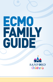# ECMO FAMILY GUIDE

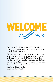

Welcome to the Children's Hospital PICU (Pediatric Intensive Care Unit). We consider it a privilege to care for your child and your family.

This book was created to give you the needed information about ECMO (ExtraCorporeal Membrane Oxygenation) and how it can help your child. We know this can be a very hard time. Our team is here to care for your child and support your family. If you have any questions or concerns, please feel free to ask your child's healthcare team.

Sanford Children's Hospital PICU and ECMO staff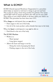# What is ECMO?

ECMO (ExtraCorporeal Membrane Oxygenation) is a procedure which helps an injured or sick heart or lungs to get rest and heal. This is done by using a heart-lung machine for patients. Our nurses and ECMO staff are trained specialists who will care for your child. They will be at your child's bedside at all times while your child is on ECMO. This procedure has been done since 1971.

When **lungs** are sick/injured, they are **not** able to:

- Push oxygen to the rest of the body.
- Get rid of the waste product carbon dioxide that stays in the body.

When the **heart** is sick/injured, it may **not** be able to:

• Push blood to the rest of the body.

#### **The ECMO Machine**

- Works as a:
	- Heart (pump)
	- Lung (gives oxygen)
- Allows the heart and lungs to rest by:
	- Doing the work of pumping the blood.
	- Pushing oxygen to the rest of the body.

. . . . . . . . . . . . . . .

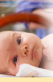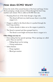## How does ECMO Work?

It does the work of the normal function of the heart and lungs. It does this by pumping a steady amount of blood through the heart-lung machine each minute. This is called an ECMO flow rate.

- Pumping blood out of the body through a large tube.
	- This blood will look very dark because there is very little oxygen in it.
- Oxygen is added to the blood when it is pushed through the heart-lung machine.

– Carbon dioxide is taken out as the oxygen is pushed in.

- The blood is warmed and then pumped back in.
	- The blood is now bright red because there is oxygen in it.

#### **Other things you may see**

- Extra tubing that has special openings. These openings are called ports. They are used for:
	- Pulling blood out for testing

. . . . . . . . . .

- Giving medications
- Safety features
	- Pump regulator
	- Blood gas monitor

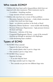## Who needs ECMO?

- Children who have heart and/or lung problems which have not improved with other treatments. These treatments may be:
	- A ventilator breathing machine
	- Large amounts of heart medications
- Children who may have one or more of these problems
	- Meconium Aspiration Syndrome a baby inhales meconium (a baby's first stool) into their lungs.
	- Sepsis an infection anywhere in the body or blood.
	- Respiratory Distress Syndrome severe trouble with breathing
	- Persistent Pulmonary Hypertension high pressures between the heart and lungs.
	- Pneumonia infection of the lung
	- Congenital Diaphragmatic Hernia a part of the stomach/ intestines go through an opening in the diaphragm.
	- A life threatening heart condition

## Types of ECMO

- VA ECMO (Veno-arterial)
	- Supports the heart and lungs
	- One cannula (plastic tube) is put in a large vein
	- One cannula is put in a large artery
- VV ECMO (Veno-venous)
	- Supports the lungs
		- It can also help the heart
	- One large cannula is put in a large vein
		- Two cannulas are put into two different large veins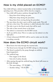# How is my child placed on ECMO?

Your child will have a tube(s) inserted either at the bedside or in the operating room. This procedure will be done by a surgeon.

- Your child will be given medicine through their IV to:
	- Keep them from feeling any pain.
	- Help them sleep during the procedure.
	- Keep them from moving during the procedure.
- The area where the tube is put in will be made numb. This will only last a short time. The medicine is called Lidocaine (lid o-kan).
- The tube is put in the blood vessels that will be used.
- The tube is then moved closer to the heart.
- The tube(s) is connected to the ECMO circuit.
- An X-ray will be done. This is to make sure the tube(s) is in the right place.
- A heart ultrasound (ECHO) will be used to make sure the tube is working correctly.

## How does the ECMO circuit work?

- Blood leaves the body through the inserted tube.
- The blood moves through the ECMO tubing to a blood pump.
- The blood is pushed by the pump through an artificial lung (oxygenator).
- The artificial lung:
	- Puts oxygen in the blood.
	- Gets rid of carbon dioxide.
- After passing through the artificial lung, the blood will return to the body through:
	- The same tubing VV ECMO

. . . . . . . . . . . . . . . .

– Another tubing – VA ECMO

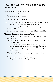## How long will my child need to be on ECMO?

Your child will need to be on ECMO until:

- The heart and/or lungs get better.
- The treatment is **not** working.

This could be a few days or many weeks.

Things that affect the length of time your child is on ECMO could be:

- The type of heart and/or lung disease your child has.
- How much damage there is to the heart and/or lungs before starting ECMO.
- Illnesses and/or complications while your child is on ECMO.

#### **When your child shows signs of getting better**

- The amount of ECMO support will be lowered slowly. This is called weaning.
- Your child will have times of trying to take them off ECMO. This is called "trial off".
	- The ventilator support will be increased to help your child with their breathing while the ECMO support is stopped.
- The ECMO support will be stopped when the lungs and heart have healed enough.
- When the ECMO support is stopped, the surgeon will take out the tube( $s$ ).
- Your child may remain on the ventilator until they are better. How long this is, will depend on your child's illness.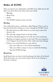# Risks of ECMO

There are risks for your child while on ECMO. Your child's doctor will talk to you about these risks. These risks may include:

- Bleeding
- Blood Clots
- Stroke
- The ECMO machine system may fail.

#### **Bleeding**

Your child will be given a medication called Heparin. This is used to keep the blood from clotting as it moves through the ECMO circuit.

- We will check your child's blood to see how long it takes their blood to clot.
- We will make changes based on the lab results.
- Sometimes bleeding happens even with very close monitoring.
- Bleeding can happen anywhere in the body. The most dangerous is if it happens around the brain. This could cause brain damage.
- If there is too much bleeding, we may need to:
	- Give your child one or more blood transfusions.
	- Take your child to surgery to stop or control the bleeding.
	- Stop the ECMO therapy.

. . . . . . . . . . . . . . . . .

#### **Blood Clots**

Small blood clots can form in the bloodstream (the flow of the blood). These blood clots can cause serious injury. There can be damage to the brain or kidneys.

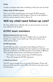#### **Stroke**

A stroke can happen when there is bleeding or blood clots into the brain.

#### **Failure of the ECMO machine**

This is rare. If this should happen, the trained ECMO specialist knows how to respond to this emergency. They are at the bedside at all times and are trained to know what to do.

# Will my child need follow-up care?

Yes. Your child's doctor will talk with you about the plan of care after your child leaves the hospital.

# ECMO team members

#### **Pediatric Intensivist (in-ten si-vist)**

This doctor is trained to take care of children who are critically ill. He/she is in charge of your child's care. This doctor will be your child's primary doctor.

#### **ECMO Specialists**

The ECMO specialist is a specially trained Registered Nurse or Registered Respiratory Therapist who has experience in intensive care. The patient will have an ECMO specialist at the bedside at **all** times. These specially trained nurses and respiratory therapists do:

- The minute-to-minute monitoring of ECMO patients.
- They will manage the ECMO equipment.

#### **Critical Care Nurses**

The ICU nurses manage and care for very sick patients. Nurses will give your child care and comfort. They will often be your main source of information.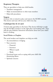#### **Respiratory Therapists**

They are specialists to help your child breathe.

- Ventilator management
- Make recommendations to other team members
- Help with procedures.

#### **Surgeon**

A doctor who is trained to place and remove the ECMO cannula. This doctor and team will see your child every day.

#### **Cardiologist (kar-de-ol o-jist)**

A doctor who specializes in the heart. This doctor will help to make sure the ECMO cannula is in the right place and working well. They will also give Pediatric Intensivist information about how your child's heart is working.

#### **Social Worker or Chaplain**

The social workers and chaplains can help you with:

- Accommodations or lodging
- Your concerns:
	- Financial
	- Insurance
	- Where to park
	- Meals
- Emotional issues such as coping with your child's life threatening illness.

• Spiritual concerns